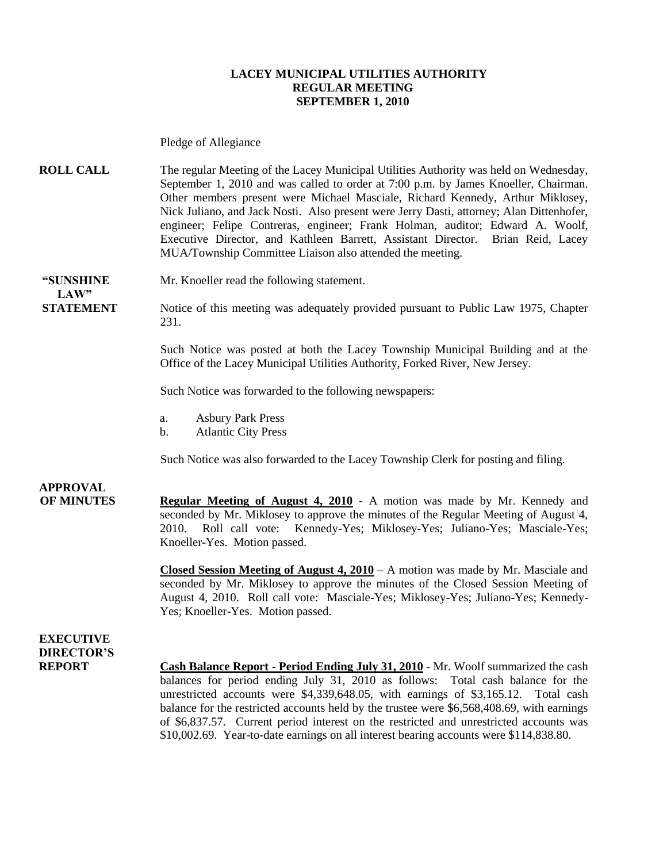#### **LACEY MUNICIPAL UTILITIES AUTHORITY REGULAR MEETING SEPTEMBER 1, 2010**

Pledge of Allegiance

**ROLL CALL** The regular Meeting of the Lacey Municipal Utilities Authority was held on Wednesday, September 1, 2010 and was called to order at 7:00 p.m. by James Knoeller, Chairman. Other members present were Michael Masciale, Richard Kennedy, Arthur Miklosey, Nick Juliano, and Jack Nosti. Also present were Jerry Dasti, attorney; Alan Dittenhofer, engineer; Felipe Contreras, engineer; Frank Holman, auditor; Edward A. Woolf, Executive Director, and Kathleen Barrett, Assistant Director. Brian Reid, Lacey MUA/Township Committee Liaison also attended the meeting.

 $LAW"$ 

**"SUNSHINE** Mr. Knoeller read the following statement.

**STATEMENT** Notice of this meeting was adequately provided pursuant to Public Law 1975, Chapter 231.

> Such Notice was posted at both the Lacey Township Municipal Building and at the Office of the Lacey Municipal Utilities Authority, Forked River, New Jersey.

Such Notice was forwarded to the following newspapers:

- a. Asbury Park Press
- b. Atlantic City Press

Such Notice was also forwarded to the Lacey Township Clerk for posting and filing.

### **APPROVAL**

**OF MINUTES Regular Meeting of August 4, 2010 -** A motion was made by Mr. Kennedy and seconded by Mr. Miklosey to approve the minutes of the Regular Meeting of August 4, 2010. Roll call vote: Kennedy-Yes; Miklosey-Yes; Juliano-Yes; Masciale-Yes; Knoeller-Yes. Motion passed.

> **Closed Session Meeting of August 4, 2010** – A motion was made by Mr. Masciale and seconded by Mr. Miklosey to approve the minutes of the Closed Session Meeting of August 4, 2010. Roll call vote: Masciale-Yes; Miklosey-Yes; Juliano-Yes; Kennedy-Yes; Knoeller-Yes. Motion passed.

**EXECUTIVE DIRECTOR'S**

**REPORT Cash Balance Report - Period Ending July 31, 2010** - Mr. Woolf summarized the cash balances for period ending July 31, 2010 as follows: Total cash balance for the unrestricted accounts were \$4,339,648.05, with earnings of \$3,165.12. Total cash balance for the restricted accounts held by the trustee were \$6,568,408.69, with earnings of \$6,837.57. Current period interest on the restricted and unrestricted accounts was \$10,002.69. Year-to-date earnings on all interest bearing accounts were \$114,838.80.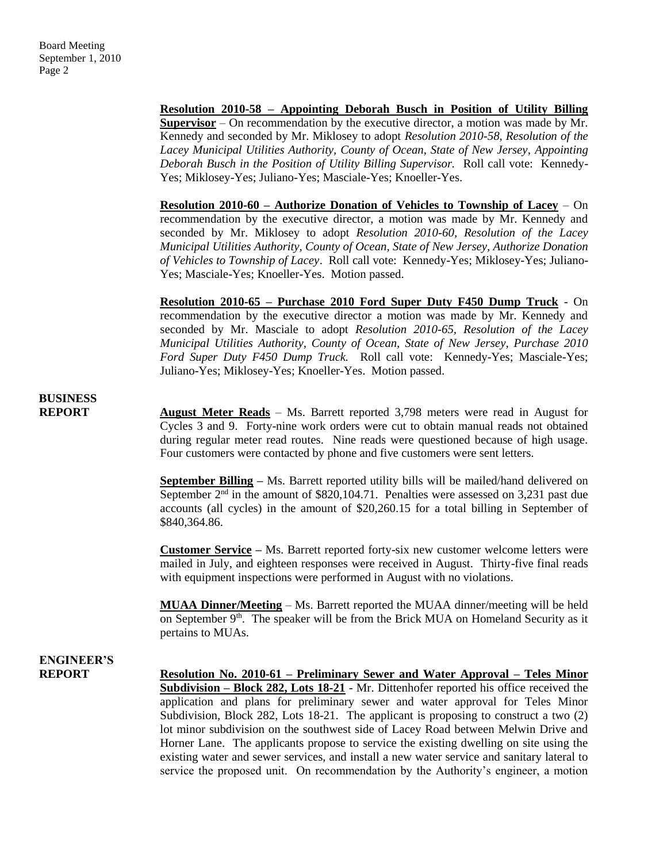**Resolution 2010-58 – Appointing Deborah Busch in Position of Utility Billing Supervisor** – On recommendation by the executive director, a motion was made by Mr. Kennedy and seconded by Mr. Miklosey to adopt *Resolution 2010-58, Resolution of the Lacey Municipal Utilities Authority, County of Ocean, State of New Jersey, Appointing Deborah Busch in the Position of Utility Billing Supervisor.* Roll call vote: Kennedy-Yes; Miklosey-Yes; Juliano-Yes; Masciale-Yes; Knoeller-Yes.

**Resolution 2010-60 – Authorize Donation of Vehicles to Township of Lacey** – On recommendation by the executive director, a motion was made by Mr. Kennedy and seconded by Mr. Miklosey to adopt *Resolution 2010-60, Resolution of the Lacey Municipal Utilities Authority, County of Ocean, State of New Jersey, Authorize Donation of Vehicles to Township of Lacey*. Roll call vote: Kennedy-Yes; Miklosey-Yes; Juliano-Yes; Masciale-Yes; Knoeller-Yes. Motion passed.

**Resolution 2010-65 – Purchase 2010 Ford Super Duty F450 Dump Truck** - On recommendation by the executive director a motion was made by Mr. Kennedy and seconded by Mr. Masciale to adopt *Resolution 2010-65, Resolution of the Lacey Municipal Utilities Authority, County of Ocean, State of New Jersey, Purchase 2010 Ford Super Duty F450 Dump Truck.* Roll call vote: Kennedy-Yes; Masciale-Yes; Juliano-Yes; Miklosey-Yes; Knoeller-Yes. Motion passed.

## **BUSINESS**

**REPORT** August Meter Reads – Ms. Barrett reported 3,798 meters were read in August for Cycles 3 and 9. Forty-nine work orders were cut to obtain manual reads not obtained during regular meter read routes. Nine reads were questioned because of high usage. Four customers were contacted by phone and five customers were sent letters.

> **September Billing –** Ms. Barrett reported utility bills will be mailed/hand delivered on September  $2<sup>nd</sup>$  in the amount of \$820,104.71. Penalties were assessed on 3,231 past due accounts (all cycles) in the amount of \$20,260.15 for a total billing in September of \$840,364.86.

> **Customer Service –** Ms. Barrett reported forty-six new customer welcome letters were mailed in July, and eighteen responses were received in August. Thirty-five final reads with equipment inspections were performed in August with no violations.

> **MUAA Dinner/Meeting** – Ms. Barrett reported the MUAA dinner/meeting will be held on September  $9<sup>th</sup>$ . The speaker will be from the Brick MUA on Homeland Security as it pertains to MUAs.

# **ENGINEER'S**

**REPORT Resolution No. 2010-61 – Preliminary Sewer and Water Approval – Teles Minor Subdivision – Block 282, Lots 18-21** - Mr. Dittenhofer reported his office received the application and plans for preliminary sewer and water approval for Teles Minor Subdivision, Block 282, Lots 18-21. The applicant is proposing to construct a two (2) lot minor subdivision on the southwest side of Lacey Road between Melwin Drive and Horner Lane. The applicants propose to service the existing dwelling on site using the existing water and sewer services, and install a new water service and sanitary lateral to service the proposed unit. On recommendation by the Authority's engineer, a motion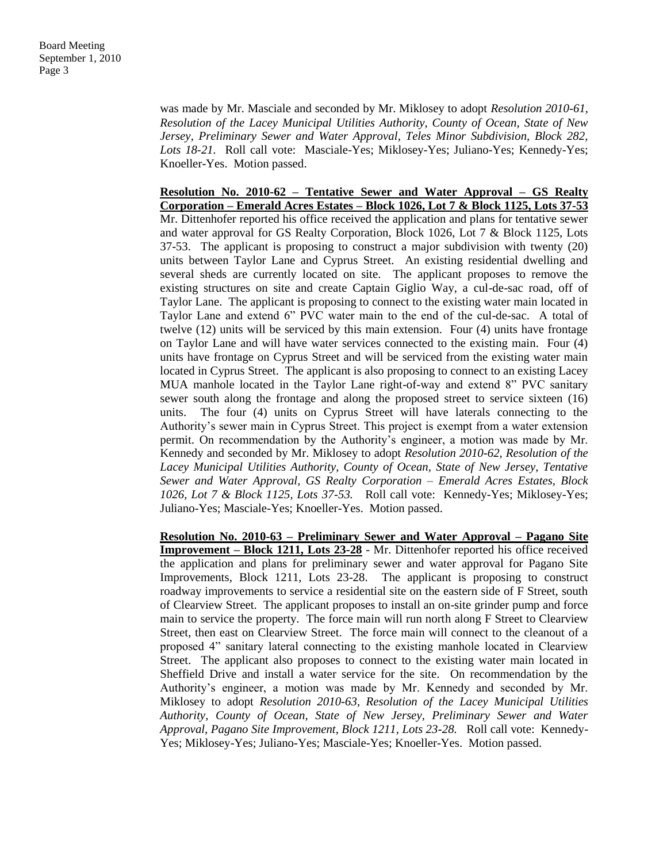was made by Mr. Masciale and seconded by Mr. Miklosey to adopt *Resolution 2010-61, Resolution of the Lacey Municipal Utilities Authority, County of Ocean, State of New Jersey, Preliminary Sewer and Water Approval, Teles Minor Subdivision, Block 282, Lots 18-21.* Roll call vote: Masciale-Yes; Miklosey-Yes; Juliano-Yes; Kennedy-Yes; Knoeller-Yes. Motion passed.

**Resolution No. 2010-62 – Tentative Sewer and Water Approval – GS Realty Corporation – Emerald Acres Estates – Block 1026, Lot 7 & Block 1125, Lots 37-53** Mr. Dittenhofer reported his office received the application and plans for tentative sewer and water approval for GS Realty Corporation, Block 1026, Lot 7 & Block 1125, Lots 37-53. The applicant is proposing to construct a major subdivision with twenty (20) units between Taylor Lane and Cyprus Street. An existing residential dwelling and several sheds are currently located on site. The applicant proposes to remove the existing structures on site and create Captain Giglio Way, a cul-de-sac road, off of Taylor Lane. The applicant is proposing to connect to the existing water main located in Taylor Lane and extend 6" PVC water main to the end of the cul-de-sac. A total of twelve (12) units will be serviced by this main extension. Four (4) units have frontage on Taylor Lane and will have water services connected to the existing main. Four (4) units have frontage on Cyprus Street and will be serviced from the existing water main located in Cyprus Street. The applicant is also proposing to connect to an existing Lacey MUA manhole located in the Taylor Lane right-of-way and extend 8" PVC sanitary sewer south along the frontage and along the proposed street to service sixteen (16) units. The four (4) units on Cyprus Street will have laterals connecting to the Authority's sewer main in Cyprus Street. This project is exempt from a water extension permit. On recommendation by the Authority's engineer, a motion was made by Mr. Kennedy and seconded by Mr. Miklosey to adopt *Resolution 2010-62, Resolution of the Lacey Municipal Utilities Authority, County of Ocean, State of New Jersey, Tentative Sewer and Water Approval, GS Realty Corporation – Emerald Acres Estates, Block 1026, Lot 7 & Block 1125, Lots 37-53.* Roll call vote: Kennedy-Yes; Miklosey-Yes; Juliano-Yes; Masciale-Yes; Knoeller-Yes. Motion passed.

**Resolution No. 2010-63 – Preliminary Sewer and Water Approval – Pagano Site Improvement – Block 1211, Lots 23-28** - Mr. Dittenhofer reported his office received the application and plans for preliminary sewer and water approval for Pagano Site Improvements, Block 1211, Lots 23-28. The applicant is proposing to construct roadway improvements to service a residential site on the eastern side of F Street, south of Clearview Street. The applicant proposes to install an on-site grinder pump and force main to service the property. The force main will run north along F Street to Clearview Street, then east on Clearview Street. The force main will connect to the cleanout of a proposed 4" sanitary lateral connecting to the existing manhole located in Clearview Street. The applicant also proposes to connect to the existing water main located in Sheffield Drive and install a water service for the site. On recommendation by the Authority's engineer, a motion was made by Mr. Kennedy and seconded by Mr. Miklosey to adopt *Resolution 2010-63, Resolution of the Lacey Municipal Utilities Authority, County of Ocean, State of New Jersey, Preliminary Sewer and Water Approval, Pagano Site Improvement, Block 1211, Lots 23-28.* Roll call vote: Kennedy-Yes; Miklosey-Yes; Juliano-Yes; Masciale-Yes; Knoeller-Yes. Motion passed.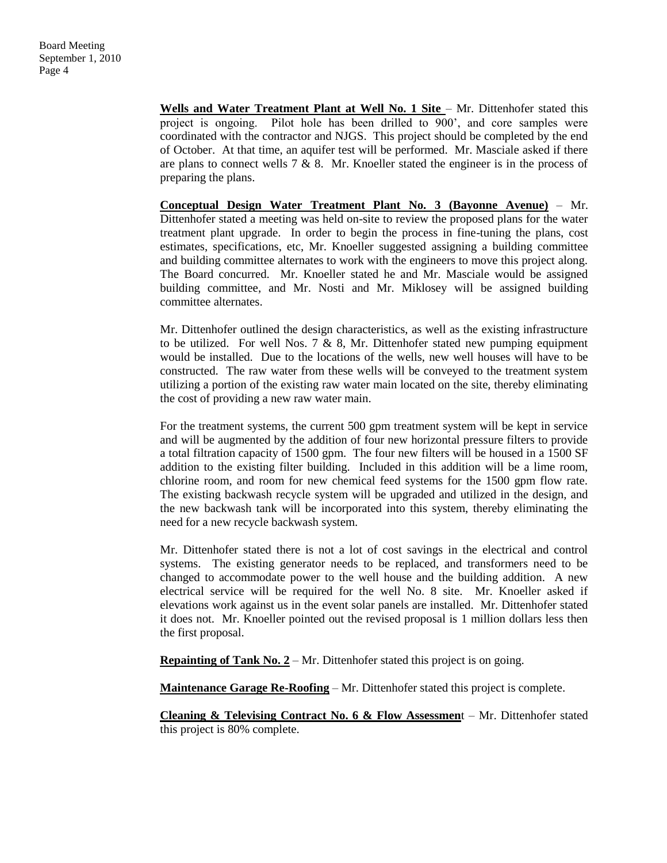Wells and Water Treatment Plant at Well No. 1 Site - Mr. Dittenhofer stated this project is ongoing. Pilot hole has been drilled to 900', and core samples were coordinated with the contractor and NJGS. This project should be completed by the end of October. At that time, an aquifer test will be performed. Mr. Masciale asked if there are plans to connect wells  $7 \& 8$ . Mr. Knoeller stated the engineer is in the process of preparing the plans.

**Conceptual Design Water Treatment Plant No. 3 (Bayonne Avenue)** – Mr. Dittenhofer stated a meeting was held on-site to review the proposed plans for the water treatment plant upgrade. In order to begin the process in fine-tuning the plans, cost estimates, specifications, etc, Mr. Knoeller suggested assigning a building committee and building committee alternates to work with the engineers to move this project along. The Board concurred. Mr. Knoeller stated he and Mr. Masciale would be assigned building committee, and Mr. Nosti and Mr. Miklosey will be assigned building committee alternates.

Mr. Dittenhofer outlined the design characteristics, as well as the existing infrastructure to be utilized. For well Nos. 7  $\&$  8, Mr. Dittenhofer stated new pumping equipment would be installed. Due to the locations of the wells, new well houses will have to be constructed. The raw water from these wells will be conveyed to the treatment system utilizing a portion of the existing raw water main located on the site, thereby eliminating the cost of providing a new raw water main.

For the treatment systems, the current 500 gpm treatment system will be kept in service and will be augmented by the addition of four new horizontal pressure filters to provide a total filtration capacity of 1500 gpm. The four new filters will be housed in a 1500 SF addition to the existing filter building. Included in this addition will be a lime room, chlorine room, and room for new chemical feed systems for the 1500 gpm flow rate. The existing backwash recycle system will be upgraded and utilized in the design, and the new backwash tank will be incorporated into this system, thereby eliminating the need for a new recycle backwash system.

Mr. Dittenhofer stated there is not a lot of cost savings in the electrical and control systems. The existing generator needs to be replaced, and transformers need to be changed to accommodate power to the well house and the building addition. A new electrical service will be required for the well No. 8 site. Mr. Knoeller asked if elevations work against us in the event solar panels are installed. Mr. Dittenhofer stated it does not. Mr. Knoeller pointed out the revised proposal is 1 million dollars less then the first proposal.

**Repainting of Tank No. 2** – Mr. Dittenhofer stated this project is on going.

**Maintenance Garage Re-Roofing** – Mr. Dittenhofer stated this project is complete.

**Cleaning & Televising Contract No. 6 & Flow Assessmen**t – Mr. Dittenhofer stated this project is 80% complete.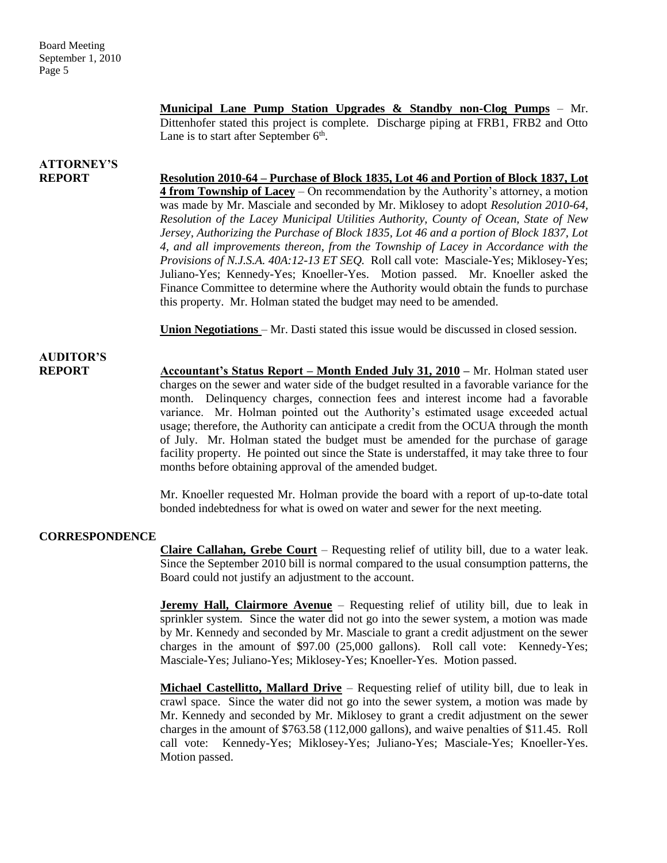**Municipal Lane Pump Station Upgrades & Standby non-Clog Pumps** – Mr. Dittenhofer stated this project is complete. Discharge piping at FRB1, FRB2 and Otto Lane is to start after September  $6<sup>th</sup>$ .

# **ATTORNEY'S**

**REPORT Resolution 2010-64 – Purchase of Block 1835, Lot 46 and Portion of Block 1837, Lot 4 from Township of Lacey** – On recommendation by the Authority's attorney, a motion was made by Mr. Masciale and seconded by Mr. Miklosey to adopt *Resolution 2010-64, Resolution of the Lacey Municipal Utilities Authority, County of Ocean, State of New Jersey, Authorizing the Purchase of Block 1835, Lot 46 and a portion of Block 1837, Lot 4, and all improvements thereon, from the Township of Lacey in Accordance with the Provisions of N.J.S.A. 40A:12-13 ET SEQ.* Roll call vote: Masciale-Yes; Miklosey-Yes; Juliano-Yes; Kennedy-Yes; Knoeller-Yes. Motion passed. Mr. Knoeller asked the Finance Committee to determine where the Authority would obtain the funds to purchase this property. Mr. Holman stated the budget may need to be amended.

**Union Negotiations** – Mr. Dasti stated this issue would be discussed in closed session.

## **AUDITOR'S**

**REPORT Accountant's Status Report – Month Ended July 31, 2010 –** Mr. Holman stated user charges on the sewer and water side of the budget resulted in a favorable variance for the month. Delinquency charges, connection fees and interest income had a favorable variance. Mr. Holman pointed out the Authority's estimated usage exceeded actual usage; therefore, the Authority can anticipate a credit from the OCUA through the month of July. Mr. Holman stated the budget must be amended for the purchase of garage facility property. He pointed out since the State is understaffed, it may take three to four months before obtaining approval of the amended budget.

> Mr. Knoeller requested Mr. Holman provide the board with a report of up-to-date total bonded indebtedness for what is owed on water and sewer for the next meeting.

#### **CORRESPONDENCE**

**Claire Callahan, Grebe Court** – Requesting relief of utility bill, due to a water leak. Since the September 2010 bill is normal compared to the usual consumption patterns, the Board could not justify an adjustment to the account.

**Jeremy Hall, Clairmore Avenue** – Requesting relief of utility bill, due to leak in sprinkler system. Since the water did not go into the sewer system, a motion was made by Mr. Kennedy and seconded by Mr. Masciale to grant a credit adjustment on the sewer charges in the amount of \$97.00 (25,000 gallons). Roll call vote: Kennedy-Yes; Masciale-Yes; Juliano-Yes; Miklosey-Yes; Knoeller-Yes. Motion passed.

**Michael Castellitto, Mallard Drive** – Requesting relief of utility bill, due to leak in crawl space. Since the water did not go into the sewer system, a motion was made by Mr. Kennedy and seconded by Mr. Miklosey to grant a credit adjustment on the sewer charges in the amount of \$763.58 (112,000 gallons), and waive penalties of \$11.45. Roll call vote: Kennedy-Yes; Miklosey-Yes; Juliano-Yes; Masciale-Yes; Knoeller-Yes. Motion passed.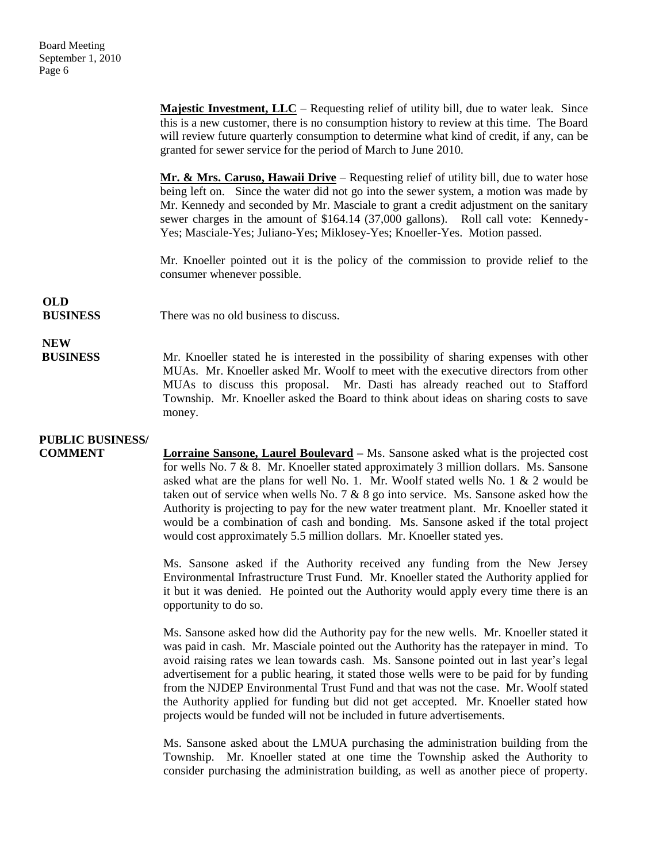**Majestic Investment, LLC** – Requesting relief of utility bill, due to water leak. Since this is a new customer, there is no consumption history to review at this time. The Board will review future quarterly consumption to determine what kind of credit, if any, can be granted for sewer service for the period of March to June 2010.

**Mr. & Mrs. Caruso, Hawaii Drive** – Requesting relief of utility bill, due to water hose being left on. Since the water did not go into the sewer system, a motion was made by Mr. Kennedy and seconded by Mr. Masciale to grant a credit adjustment on the sanitary sewer charges in the amount of \$164.14 (37,000 gallons). Roll call vote: Kennedy-Yes; Masciale-Yes; Juliano-Yes; Miklosey-Yes; Knoeller-Yes. Motion passed.

Mr. Knoeller pointed out it is the policy of the commission to provide relief to the consumer whenever possible.

## **OLD**

**BUSINESS** There was no old business to discuss.

### **NEW**

**BUSINESS** Mr. Knoeller stated he is interested in the possibility of sharing expenses with other MUAs. Mr. Knoeller asked Mr. Woolf to meet with the executive directors from other MUAs to discuss this proposal. Mr. Dasti has already reached out to Stafford Township. Mr. Knoeller asked the Board to think about ideas on sharing costs to save money.

### **PUBLIC BUSINESS/**

**COMMENT Lorraine Sansone, Laurel Boulevard** – Ms. Sansone asked what is the projected cost for wells No. 7 & 8. Mr. Knoeller stated approximately 3 million dollars. Ms. Sansone asked what are the plans for well No. 1. Mr. Woolf stated wells No. 1 & 2 would be taken out of service when wells No. 7  $& 8$  go into service. Ms. Sansone asked how the Authority is projecting to pay for the new water treatment plant. Mr. Knoeller stated it would be a combination of cash and bonding. Ms. Sansone asked if the total project would cost approximately 5.5 million dollars. Mr. Knoeller stated yes.

> Ms. Sansone asked if the Authority received any funding from the New Jersey Environmental Infrastructure Trust Fund. Mr. Knoeller stated the Authority applied for it but it was denied. He pointed out the Authority would apply every time there is an opportunity to do so.

> Ms. Sansone asked how did the Authority pay for the new wells. Mr. Knoeller stated it was paid in cash. Mr. Masciale pointed out the Authority has the ratepayer in mind. To avoid raising rates we lean towards cash. Ms. Sansone pointed out in last year's legal advertisement for a public hearing, it stated those wells were to be paid for by funding from the NJDEP Environmental Trust Fund and that was not the case. Mr. Woolf stated the Authority applied for funding but did not get accepted. Mr. Knoeller stated how projects would be funded will not be included in future advertisements.

> Ms. Sansone asked about the LMUA purchasing the administration building from the Township. Mr. Knoeller stated at one time the Township asked the Authority to consider purchasing the administration building, as well as another piece of property.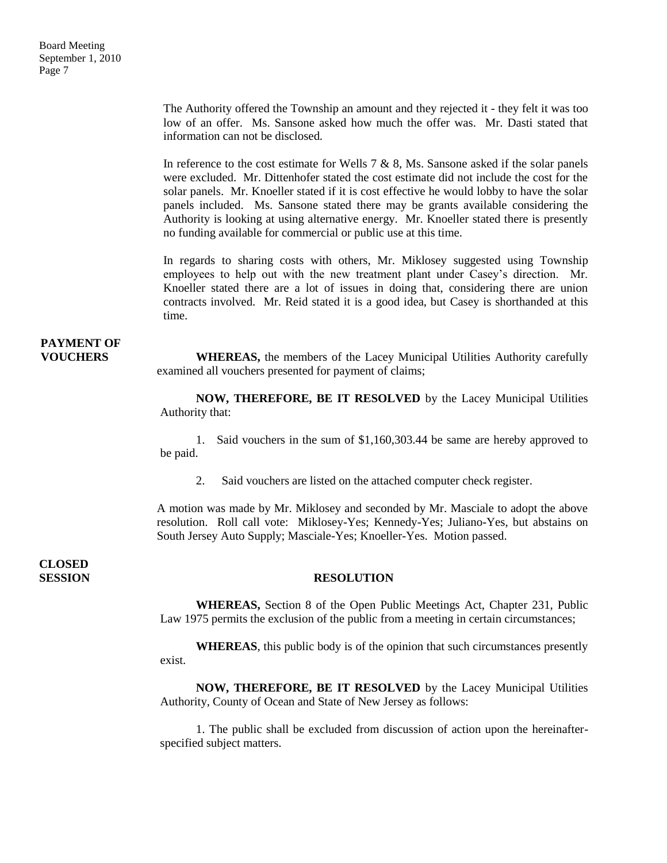The Authority offered the Township an amount and they rejected it - they felt it was too low of an offer. Ms. Sansone asked how much the offer was. Mr. Dasti stated that information can not be disclosed.

In reference to the cost estimate for Wells 7 & 8, Ms. Sansone asked if the solar panels were excluded. Mr. Dittenhofer stated the cost estimate did not include the cost for the solar panels. Mr. Knoeller stated if it is cost effective he would lobby to have the solar panels included. Ms. Sansone stated there may be grants available considering the Authority is looking at using alternative energy. Mr. Knoeller stated there is presently no funding available for commercial or public use at this time.

In regards to sharing costs with others, Mr. Miklosey suggested using Township employees to help out with the new treatment plant under Casey's direction. Mr. Knoeller stated there are a lot of issues in doing that, considering there are union contracts involved. Mr. Reid stated it is a good idea, but Casey is shorthanded at this time.

# **PAYMENT OF**

**VOUCHERS** WHEREAS, the members of the Lacey Municipal Utilities Authority carefully examined all vouchers presented for payment of claims;

> **NOW, THEREFORE, BE IT RESOLVED** by the Lacey Municipal Utilities Authority that:

> 1. Said vouchers in the sum of \$1,160,303.44 be same are hereby approved to be paid.

2. Said vouchers are listed on the attached computer check register.

A motion was made by Mr. Miklosey and seconded by Mr. Masciale to adopt the above resolution. Roll call vote: Miklosey-Yes; Kennedy-Yes; Juliano-Yes, but abstains on South Jersey Auto Supply; Masciale-Yes; Knoeller-Yes. Motion passed.

**CLOSED** 

#### **SESSION RESOLUTION**

**WHEREAS,** Section 8 of the Open Public Meetings Act, Chapter 231, Public Law 1975 permits the exclusion of the public from a meeting in certain circumstances;

**WHEREAS**, this public body is of the opinion that such circumstances presently exist.

**NOW, THEREFORE, BE IT RESOLVED** by the Lacey Municipal Utilities Authority, County of Ocean and State of New Jersey as follows:

1. The public shall be excluded from discussion of action upon the hereinafterspecified subject matters.